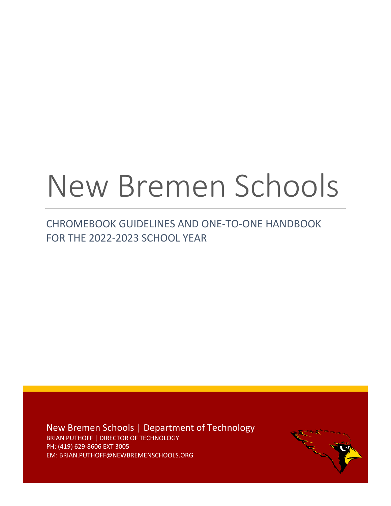# New Bremen Schools

# CHROMEBOOK GUIDELINES AND ONE-TO-ONE HANDBOOK FOR THE 2022-2023 SCHOOL YEAR

New Bremen Schools | Department of Technology BRIAN PUTHOFF | DIRECTOR OF TECHNOLOGY PH: (419) 629-8606 EXT 3005 EM: BRIAN.PUTHOFF@NEWBREMENSCHOOLS.ORG

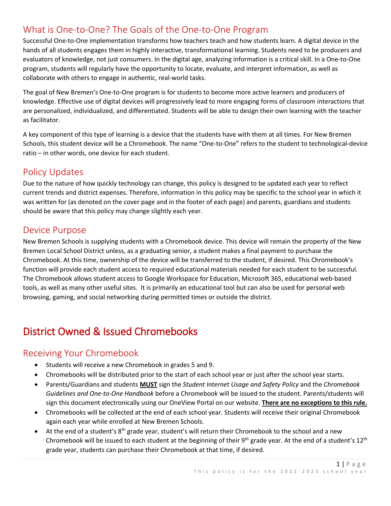#### What is One-to-One? The Goals of the One-to-One Program

Successful One-to-One implementation transforms how teachers teach and how students learn. A digital device in the hands of all students engages them in highly interactive, transformational learning. Students need to be producers and evaluators of knowledge, not just consumers. In the digital age, analyzing information is a critical skill. In a One-to-One program, students will regularly have the opportunity to locate, evaluate, and interpret information, as well as collaborate with others to engage in authentic, real-world tasks.

The goal of New Bremen's One-to-One program is for students to become more active learners and producers of knowledge. Effective use of digital devices will progressively lead to more engaging forms of classroom interactions that are personalized, individualized, and differentiated. Students will be able to design their own learning with the teacher as facilitator.

A key component of this type of learning is a device that the students have with them at all times. For New Bremen Schools, this student device will be a Chromebook. The name "One-to-One" refers to the student to technological-device ratio – in other words, one device for each student.

## Policy Updates

Due to the nature of how quickly technology can change, this policy is designed to be updated each year to reflect current trends and district expenses. Therefore, information in this policy may be specific to the school year in which it was written for (as denoted on the cover page and in the footer of each page) and parents, guardians and students should be aware that this policy may change slightly each year.

#### Device Purpose

New Bremen Schools is supplying students with a Chromebook device. This device will remain the property of the New Bremen Local School District unless, as a graduating senior, a student makes a final payment to purchase the Chromebook. At this time, ownership of the device will be transferred to the student, if desired. This Chromebook's function will provide each student access to required educational materials needed for each student to be successful. The Chromebook allows student access to Google Workspace for Education, Microsoft 365, educational web-based tools, as well as many other useful sites. It is primarily an educational tool but can also be used for personal web browsing, gaming, and social networking during permitted times or outside the district.

## District Owned & Issued Chromebooks

#### Receiving Your Chromebook

- Students will receive a new Chromebook in grades 5 and 9.
- Chromebooks will be distributed prior to the start of each school year or just after the school year starts.
- Parents/Guardians and students **MUST** sign the *Student Internet Usage and Safety Policy* and the *Chromebook Guidelines and One-to-One Handbook* before a Chromebook will be issued to the student. Parents/students will sign this document electronically using our OneView Portal on our website. **There are no exceptions to this rule.**
- Chromebooks will be collected at the end of each school year. Students will receive their original Chromebook again each year while enrolled at New Bremen Schools.
- At the end of a student's  $8<sup>th</sup>$  grade year, student's will return their Chromebook to the school and a new Chromebook will be issued to each student at the beginning of their  $9<sup>th</sup>$  grade year. At the end of a student's  $12<sup>th</sup>$ grade year, students can purchase their Chromebook at that time, if desired.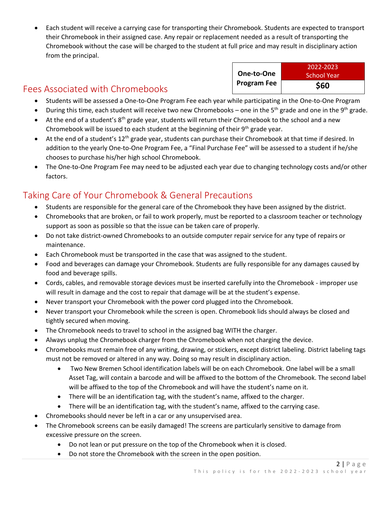• Each student will receive a carrying case for transporting their Chromebook. Students are expected to transport their Chromebook in their assigned case. Any repair or replacement needed as a result of transporting the Chromebook without the case will be charged to the student at full price and may result in disciplinary action from the principal.

### Fees Associated with Chromebooks

| <b>School Year</b> |
|--------------------|
| \$60               |
|                    |

- Students will be assessed a One-to-One Program Fee each year while participating in the One-to-One Program
- During this time, each student will receive two new Chromebooks one in the 5<sup>th</sup> grade and one in the 9<sup>th</sup> grade.
- At the end of a student's 8<sup>th</sup> grade year, students will return their Chromebook to the school and a new Chromebook will be issued to each student at the beginning of their  $9<sup>th</sup>$  grade year.
- At the end of a student's 12<sup>th</sup> grade year, students can purchase their Chromebook at that time if desired. In addition to the yearly One-to-One Program Fee, a "Final Purchase Fee" will be assessed to a student if he/she chooses to purchase his/her high school Chromebook.
- The One-to-One Program Fee may need to be adjusted each year due to changing technology costs and/or other factors.

## Taking Care of Your Chromebook & General Precautions

- Students are responsible for the general care of the Chromebook they have been assigned by the district.
- Chromebooks that are broken, or fail to work properly, must be reported to a classroom teacher or technology support as soon as possible so that the issue can be taken care of properly.
- Do not take district-owned Chromebooks to an outside computer repair service for any type of repairs or maintenance.
- Each Chromebook must be transported in the case that was assigned to the student.
- Food and beverages can damage your Chromebook. Students are fully responsible for any damages caused by food and beverage spills.
- Cords, cables, and removable storage devices must be inserted carefully into the Chromebook improper use will result in damage and the cost to repair that damage will be at the student's expense.
- Never transport your Chromebook with the power cord plugged into the Chromebook.
- Never transport your Chromebook while the screen is open. Chromebook lids should always be closed and tightly secured when moving.
- The Chromebook needs to travel to school in the assigned bag WITH the charger.
- Always unplug the Chromebook charger from the Chromebook when not charging the device.
- Chromebooks must remain free of any writing, drawing, or stickers, except district labeling. District labeling tags must not be removed or altered in any way. Doing so may result in disciplinary action.
	- Two New Bremen School identification labels will be on each Chromebook. One label will be a small Asset Tag, will contain a barcode and will be affixed to the bottom of the Chromebook. The second label will be affixed to the top of the Chromebook and will have the student's name on it.
	- There will be an identification tag, with the student's name, affixed to the charger.
	- There will be an identification tag, with the student's name, affixed to the carrying case.
- Chromebooks should never be left in a car or any unsupervised area.
- The Chromebook screens can be easily damaged! The screens are particularly sensitive to damage from excessive pressure on the screen.
	- Do not lean or put pressure on the top of the Chromebook when it is closed.
	- Do not store the Chromebook with the screen in the open position.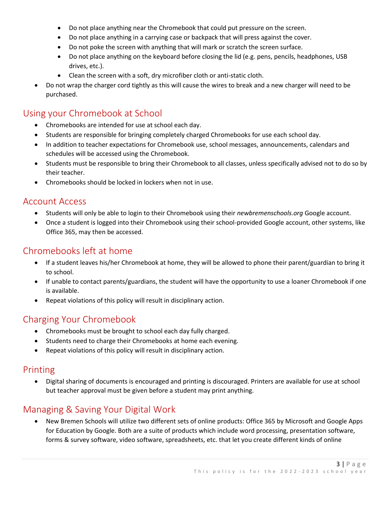- Do not place anything near the Chromebook that could put pressure on the screen.
- Do not place anything in a carrying case or backpack that will press against the cover.
- Do not poke the screen with anything that will mark or scratch the screen surface.
- Do not place anything on the keyboard before closing the lid (e.g. pens, pencils, headphones, USB drives, etc.).
- Clean the screen with a soft, dry microfiber cloth or anti-static cloth.
- Do not wrap the charger cord tightly as this will cause the wires to break and a new charger will need to be purchased.

#### Using your Chromebook at School

- Chromebooks are intended for use at school each day.
- Students are responsible for bringing completely charged Chromebooks for use each school day.
- In addition to teacher expectations for Chromebook use, school messages, announcements, calendars and schedules will be accessed using the Chromebook.
- Students must be responsible to bring their Chromebook to all classes, unless specifically advised not to do so by their teacher.
- Chromebooks should be locked in lockers when not in use.

#### Account Access

- Students will only be able to login to their Chromebook using their *newbremenschools.org* Google account.
- Once a student is logged into their Chromebook using their school-provided Google account, other systems, like Office 365, may then be accessed.

#### Chromebooks left at home

- If a student leaves his/her Chromebook at home, they will be allowed to phone their parent/guardian to bring it to school.
- If unable to contact parents/guardians, the student will have the opportunity to use a loaner Chromebook if one is available.
- Repeat violations of this policy will result in disciplinary action.

#### Charging Your Chromebook

- Chromebooks must be brought to school each day fully charged.
- Students need to charge their Chromebooks at home each evening.
- Repeat violations of this policy will result in disciplinary action.

#### Printing

• Digital sharing of documents is encouraged and printing is discouraged. Printers are available for use at school but teacher approval must be given before a student may print anything.

#### Managing & Saving Your Digital Work

• New Bremen Schools will utilize two different sets of online products: Office 365 by Microsoft and Google Apps for Education by Google. Both are a suite of products which include word processing, presentation software, forms & survey software, video software, spreadsheets, etc. that let you create different kinds of online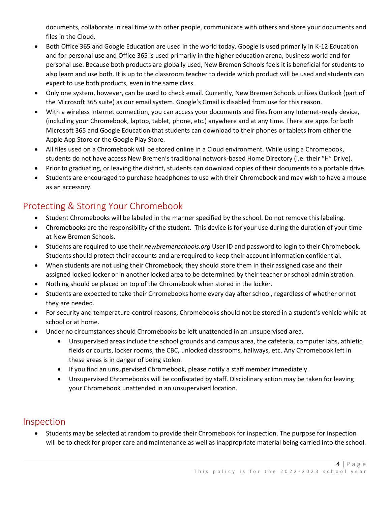documents, collaborate in real time with other people, communicate with others and store your documents and files in the Cloud.

- Both Office 365 and Google Education are used in the world today. Google is used primarily in K-12 Education and for personal use and Office 365 is used primarily in the higher education arena, business world and for personal use. Because both products are globally used, New Bremen Schools feels it is beneficial for students to also learn and use both. It is up to the classroom teacher to decide which product will be used and students can expect to use both products, even in the same class.
- Only one system, however, can be used to check email. Currently, New Bremen Schools utilizes Outlook (part of the Microsoft 365 suite) as our email system. Google's Gmail is disabled from use for this reason.
- With a wireless Internet connection, you can access your documents and files from any Internet-ready device, (including your Chromebook, laptop, tablet, phone, etc.) anywhere and at any time. There are apps for both Microsoft 365 and Google Education that students can download to their phones or tablets from either the Apple App Store or the Google Play Store.
- All files used on a Chromebook will be stored online in a Cloud environment. While using a Chromebook, students do not have access New Bremen's traditional network-based Home Directory (i.e. their "H" Drive).
- Prior to graduating, or leaving the district, students can download copies of their documents to a portable drive.
- Students are encouraged to purchase headphones to use with their Chromebook and may wish to have a mouse as an accessory.

#### Protecting & Storing Your Chromebook

- Student Chromebooks will be labeled in the manner specified by the school. Do not remove this labeling.
- Chromebooks are the responsibility of the student. This device is for your use during the duration of your time at New Bremen Schools.
- Students are required to use their *newbremenschools.org* User ID and password to login to their Chromebook. Students should protect their accounts and are required to keep their account information confidential.
- When students are not using their Chromebook, they should store them in their assigned case and their assigned locked locker or in another locked area to be determined by their teacher or school administration.
- Nothing should be placed on top of the Chromebook when stored in the locker.
- Students are expected to take their Chromebooks home every day after school, regardless of whether or not they are needed.
- For security and temperature-control reasons, Chromebooks should not be stored in a student's vehicle while at school or at home.
- Under no circumstances should Chromebooks be left unattended in an unsupervised area.
	- Unsupervised areas include the school grounds and campus area, the cafeteria, computer labs, athletic fields or courts, locker rooms, the CBC, unlocked classrooms, hallways, etc. Any Chromebook left in these areas is in danger of being stolen.
	- If you find an unsupervised Chromebook, please notify a staff member immediately.
	- Unsupervised Chromebooks will be confiscated by staff. Disciplinary action may be taken for leaving your Chromebook unattended in an unsupervised location.

#### Inspection

• Students may be selected at random to provide their Chromebook for inspection. The purpose for inspection will be to check for proper care and maintenance as well as inappropriate material being carried into the school.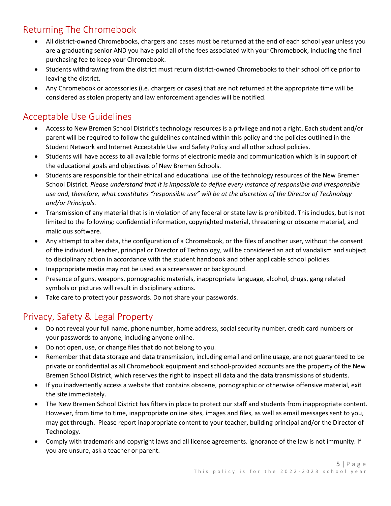#### Returning The Chromebook

- All district-owned Chromebooks, chargers and cases must be returned at the end of each school year unless you are a graduating senior AND you have paid all of the fees associated with your Chromebook, including the final purchasing fee to keep your Chromebook.
- Students withdrawing from the district must return district-owned Chromebooks to their school office prior to leaving the district.
- Any Chromebook or accessories (i.e. chargers or cases) that are not returned at the appropriate time will be considered as stolen property and law enforcement agencies will be notified.

#### Acceptable Use Guidelines

- Access to New Bremen School District's technology resources is a privilege and not a right. Each student and/or parent will be required to follow the guidelines contained within this policy and the policies outlined in the Student Network and Internet Acceptable Use and Safety Policy and all other school policies.
- Students will have access to all available forms of electronic media and communication which is in support of the educational goals and objectives of New Bremen Schools.
- Students are responsible for their ethical and educational use of the technology resources of the New Bremen School District. *Please understand that it is impossible to define every instance of responsible and irresponsible use and, therefore, what constitutes "responsible use" will be at the discretion of the Director of Technology and/or Principals.*
- Transmission of any material that is in violation of any federal or state law is prohibited. This includes, but is not limited to the following: confidential information, copyrighted material, threatening or obscene material, and malicious software.
- Any attempt to alter data, the configuration of a Chromebook, or the files of another user, without the consent of the individual, teacher, principal or Director of Technology, will be considered an act of vandalism and subject to disciplinary action in accordance with the student handbook and other applicable school policies.
- Inappropriate media may not be used as a screensaver or background.
- Presence of guns, weapons, pornographic materials, inappropriate language, alcohol, drugs, gang related symbols or pictures will result in disciplinary actions.
- Take care to protect your passwords. Do not share your passwords.

#### Privacy, Safety & Legal Property

- Do not reveal your full name, phone number, home address, social security number, credit card numbers or your passwords to anyone, including anyone online.
- Do not open, use, or change files that do not belong to you.
- Remember that data storage and data transmission, including email and online usage, are not guaranteed to be private or confidential as all Chromebook equipment and school-provided accounts are the property of the New Bremen School District, which reserves the right to inspect all data and the data transmissions of students.
- If you inadvertently access a website that contains obscene, pornographic or otherwise offensive material, exit the site immediately.
- The New Bremen School District has filters in place to protect our staff and students from inappropriate content. However, from time to time, inappropriate online sites, images and files, as well as email messages sent to you, may get through. Please report inappropriate content to your teacher, building principal and/or the Director of Technology.
- Comply with trademark and copyright laws and all license agreements. Ignorance of the law is not immunity. If you are unsure, ask a teacher or parent.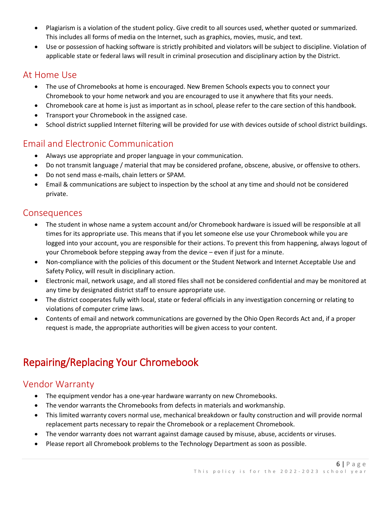- Plagiarism is a violation of the student policy. Give credit to all sources used, whether quoted or summarized. This includes all forms of media on the Internet, such as graphics, movies, music, and text.
- Use or possession of hacking software is strictly prohibited and violators will be subject to discipline. Violation of applicable state or federal laws will result in criminal prosecution and disciplinary action by the District.

#### At Home Use

- The use of Chromebooks at home is encouraged. New Bremen Schools expects you to connect your Chromebook to your home network and you are encouraged to use it anywhere that fits your needs.
- Chromebook care at home is just as important as in school, please refer to the care section of this handbook.
- Transport your Chromebook in the assigned case.
- School district supplied Internet filtering will be provided for use with devices outside of school district buildings.

#### Email and Electronic Communication

- Always use appropriate and proper language in your communication.
- Do not transmit language / material that may be considered profane, obscene, abusive, or offensive to others.
- Do not send mass e-mails, chain letters or SPAM.
- Email & communications are subject to inspection by the school at any time and should not be considered private.

#### **Consequences**

- The student in whose name a system account and/or Chromebook hardware is issued will be responsible at all times for its appropriate use. This means that if you let someone else use your Chromebook while you are logged into your account, you are responsible for their actions. To prevent this from happening, always logout of your Chromebook before stepping away from the device – even if just for a minute.
- Non-compliance with the policies of this document or the Student Network and Internet Acceptable Use and Safety Policy, will result in disciplinary action.
- Electronic mail, network usage, and all stored files shall not be considered confidential and may be monitored at any time by designated district staff to ensure appropriate use.
- The district cooperates fully with local, state or federal officials in any investigation concerning or relating to violations of computer crime laws.
- Contents of email and network communications are governed by the Ohio Open Records Act and, if a proper request is made, the appropriate authorities will be given access to your content.

# Repairing/Replacing Your Chromebook

#### Vendor Warranty

- The equipment vendor has a one-year hardware warranty on new Chromebooks.
- The vendor warrants the Chromebooks from defects in materials and workmanship.
- This limited warranty covers normal use, mechanical breakdown or faulty construction and will provide normal replacement parts necessary to repair the Chromebook or a replacement Chromebook.
- The vendor warranty does not warrant against damage caused by misuse, abuse, accidents or viruses.
- Please report all Chromebook problems to the Technology Department as soon as possible.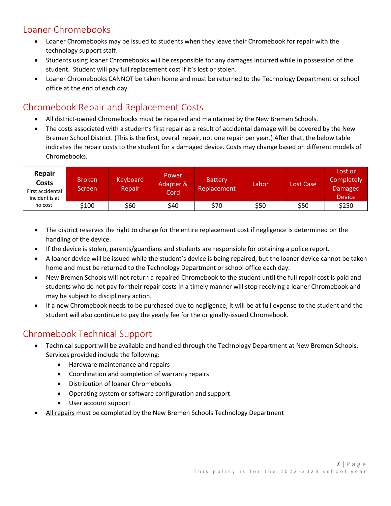## Loaner Chromebooks

- Loaner Chromebooks may be issued to students when they leave their Chromebook for repair with the technology support staff.
- Students using loaner Chromebooks will be responsible for any damages incurred while in possession of the student. Student will pay full replacement cost if it's lost or stolen.
- Loaner Chromebooks CANNOT be taken home and must be returned to the Technology Department or school office at the end of each day.

#### Chromebook Repair and Replacement Costs

- All district-owned Chromebooks must be repaired and maintained by the New Bremen Schools.
- The costs associated with a student's first repair as a result of accidental damage will be covered by the New Bremen School District. (This is the first, overall repair, not one repair per year.) After that, the below table indicates the repair costs to the student for a damaged device. Costs may change based on different models of Chromebooks.

| Repair<br>Costs<br>First accidental<br>incident is at | <b>Broken</b><br>Screen | Keyboard<br>Repair | <b>Power</b><br>Adapter &<br>Cord | <b>Battery</b><br><b>Replacement</b> | Labor | Lost Case | Lost or<br>Completely<br>Damaged<br><b>Device</b> |
|-------------------------------------------------------|-------------------------|--------------------|-----------------------------------|--------------------------------------|-------|-----------|---------------------------------------------------|
| no cost.                                              | \$100                   | \$60               | \$40                              | \$70                                 | \$50  | \$50      | \$250                                             |

- The district reserves the right to charge for the entire replacement cost if negligence is determined on the handling of the device.
- If the device is stolen, parents/guardians and students are responsible for obtaining a police report.
- A loaner device will be issued while the student's device is being repaired, but the loaner device cannot be taken home and must be returned to the Technology Department or school office each day.
- New Bremen Schools will not return a repaired Chromebook to the student until the full repair cost is paid and students who do not pay for their repair costs in a timely manner will stop receiving a loaner Chromebook and may be subject to disciplinary action.
- If a new Chromebook needs to be purchased due to negligence, it will be at full expense to the student and the student will also continue to pay the yearly fee for the originally-issued Chromebook.

## Chromebook Technical Support

- Technical support will be available and handled through the Technology Department at New Bremen Schools. Services provided include the following:
	- Hardware maintenance and repairs
	- Coordination and completion of warranty repairs
	- Distribution of loaner Chromebooks
	- Operating system or software configuration and support
	- User account support
- All repairs must be completed by the New Bremen Schools Technology Department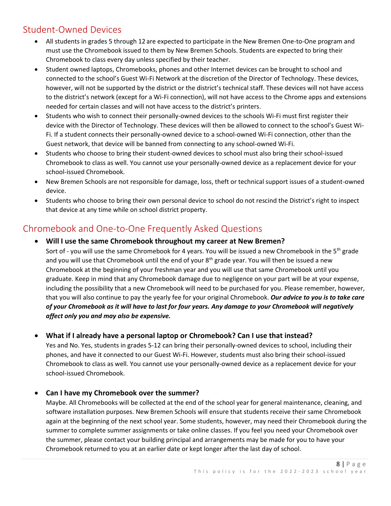#### Student-Owned Devices

- All students in grades 5 through 12 are expected to participate in the New Bremen One-to-One program and must use the Chromebook issued to them by New Bremen Schools. Students are expected to bring their Chromebook to class every day unless specified by their teacher.
- Student owned laptops, Chromebooks, phones and other Internet devices can be brought to school and connected to the school's Guest Wi-Fi Network at the discretion of the Director of Technology. These devices, however, will not be supported by the district or the district's technical staff. These devices will not have access to the district's network (except for a Wi-Fi connection), will not have access to the Chrome apps and extensions needed for certain classes and will not have access to the district's printers.
- Students who wish to connect their personally-owned devices to the schools Wi-Fi must first register their device with the Director of Technology. These devices will then be allowed to connect to the school's Guest Wi-Fi. If a student connects their personally-owned device to a school-owned Wi-Fi connection, other than the Guest network, that device will be banned from connecting to any school-owned Wi-Fi.
- Students who choose to bring their student-owned devices to school must also bring their school-issued Chromebook to class as well. You cannot use your personally-owned device as a replacement device for your school-issued Chromebook.
- New Bremen Schools are not responsible for damage, loss, theft or technical support issues of a student-owned device.
- Students who choose to bring their own personal device to school do not rescind the District's right to inspect that device at any time while on school district property.

#### Chromebook and One-to-One Frequently Asked Questions

#### • **Will I use the same Chromebook throughout my career at New Bremen?**

Sort of - you will use the same Chromebook for 4 years. You will be issued a new Chromebook in the  $5<sup>th</sup>$  grade and you will use that Chromebook until the end of your 8<sup>th</sup> grade year. You will then be issued a new Chromebook at the beginning of your freshman year and you will use that same Chromebook until you graduate. Keep in mind that any Chromebook damage due to negligence on your part will be at your expense, including the possibility that a new Chromebook will need to be purchased for you. Please remember, however, that you will also continue to pay the yearly fee for your original Chromebook. *Our advice to you is to take care of your Chromebook as it will have to last for four years. Any damage to your Chromebook will negatively affect only you and may also be expensive.*

#### • **What if I already have a personal laptop or Chromebook? Can I use that instead?**

Yes and No. Yes, students in grades 5-12 can bring their personally-owned devices to school, including their phones, and have it connected to our Guest Wi-Fi. However, students must also bring their school-issued Chromebook to class as well. You cannot use your personally-owned device as a replacement device for your school-issued Chromebook.

#### • **Can I have my Chromebook over the summer?**

Maybe. All Chromebooks will be collected at the end of the school year for general maintenance, cleaning, and software installation purposes. New Bremen Schools will ensure that students receive their same Chromebook again at the beginning of the next school year. Some students, however, may need their Chromebook during the summer to complete summer assignments or take online classes. If you feel you need your Chromebook over the summer, please contact your building principal and arrangements may be made for you to have your Chromebook returned to you at an earlier date or kept longer after the last day of school.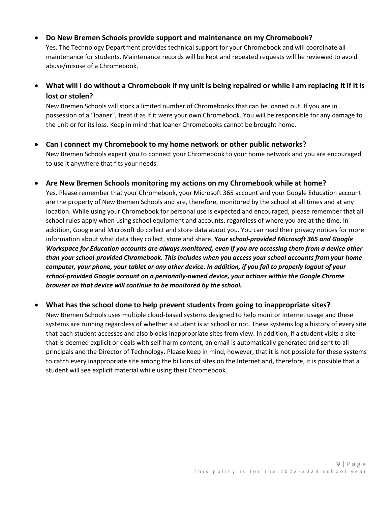• **Do New Bremen Schools provide support and maintenance on my Chromebook?**

Yes. The Technology Department provides technical support for your Chromebook and will coordinate all maintenance for students. Maintenance records will be kept and repeated requests will be reviewed to avoid abuse/misuse of a Chromebook.

• **What will I do without a Chromebook if my unit is being repaired or while I am replacing it if it is lost or stolen?**

New Bremen Schools will stock a limited number of Chromebooks that can be loaned out. If you are in possession of a "loaner", treat it as if it were your own Chromebook. You will be responsible for any damage to the unit or for its loss. Keep in mind that loaner Chromebooks cannot be brought home.

- **Can I connect my Chromebook to my home network or other public networks?** New Bremen Schools expect you to connect your Chromebook to your home network and you are encouraged to use it anywhere that fits your needs.
- **Are New Bremen Schools monitoring my actions on my Chromebook while at home?**

Yes. Please remember that your Chromebook, your Microsoft 365 account and your Google Education account are the property of New Bremen Schools and are, therefore, monitored by the school at all times and at any location. While using your Chromebook for personal use is expected and encouraged, please remember that all school rules apply when using school equipment and accounts, regardless of where you are at the time. In addition, Google and Microsoft do collect and store data about you. You can read their privacy notices for more information about what data they collect, store and share. **Y***our school-provided Microsoft 365 and Google Workspace for Education accounts are always monitored, even if you are accessing them from a device other than your school-provided Chromebook. This includes when you access your school accounts from your home computer, your phone, your tablet or any other device. In addition, if you fail to properly logout of your school-provided Google account on a personally-owned device, your actions within the Google Chrome browser on that device will continue to be monitored by the school.*

#### • **What has the school done to help prevent students from going to inappropriate sites?**

New Bremen Schools uses multiple cloud-based systems designed to help monitor Internet usage and these systems are running regardless of whether a student is at school or not. These systems log a history of every site that each student accesses and also blocks inappropriate sites from view. In addition, if a student visits a site that is deemed explicit or deals with self-harm content, an email is automatically generated and sent to all principals and the Director of Technology. Please keep in mind, however, that it is not possible for these systems to catch every inappropriate site among the billions of sites on the Internet and, therefore, it is possible that a student will see explicit material while using their Chromebook.